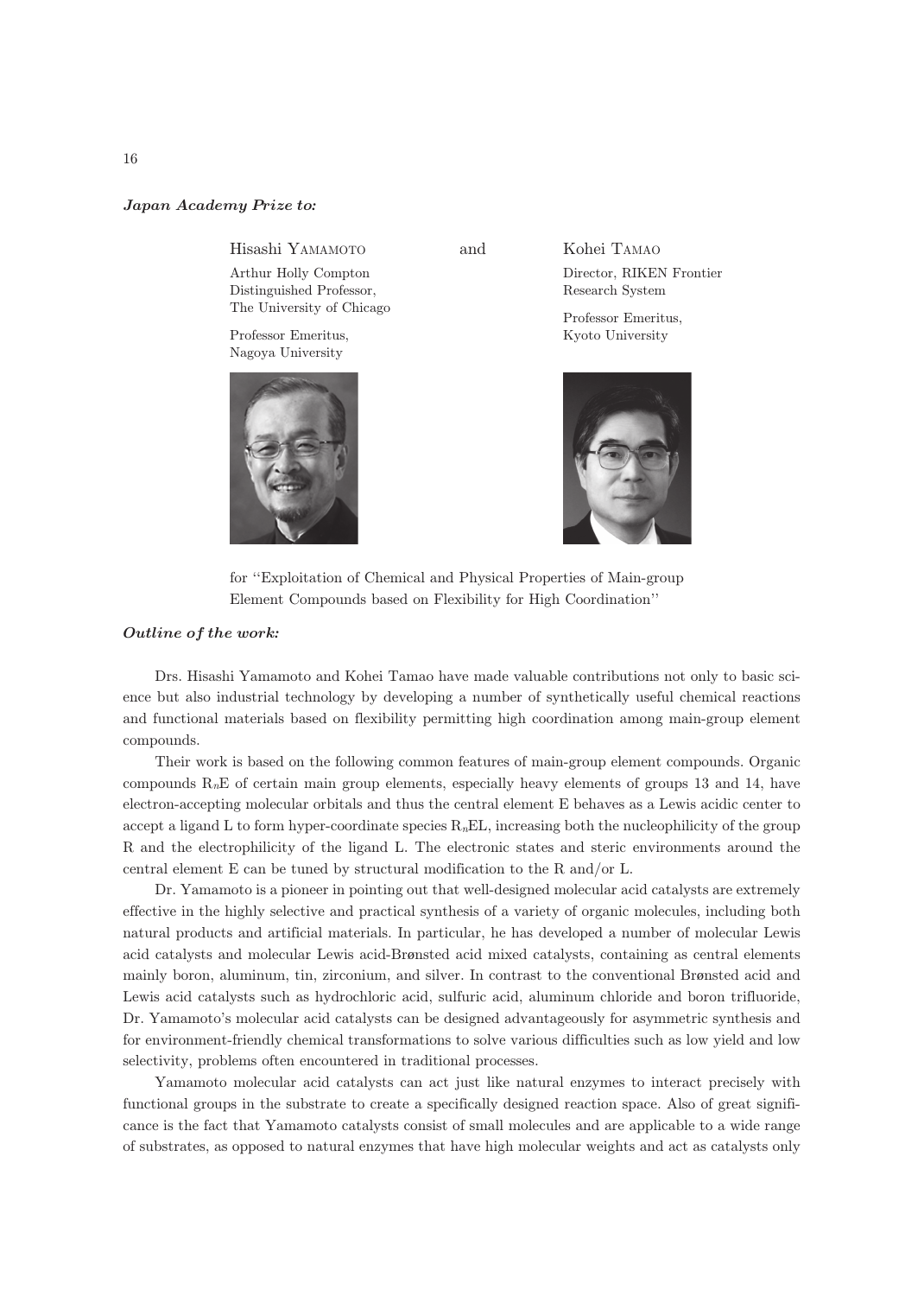## Japan Academy Prize to*:*

Hisashi YAMAMOTO and

Arthur Holly Compton Distinguished Professor, The University of Chicago

Professor Emeritus, Nagoya University



Kohei TAMAO

Director, RIKEN Frontier Research System

Professor Emeritus, Kyoto University



for ''Exploitation of Chemical and Physical Properties of Main-group Element Compounds based on Flexibility for High Coordination''

## Outline of the work*:*

Drs. Hisashi Yamamoto and Kohei Tamao have made valuable contributions not only to basic science but also industrial technology by developing a number of synthetically useful chemical reactions and functional materials based on flexibility permitting high coordination among main-group element compounds.

Their work is based on the following common features of main-group element compounds. Organic compounds  $R_nE$  of certain main group elements, especially heavy elements of groups 13 and 14, have electron-accepting molecular orbitals and thus the central element E behaves as a Lewis acidic center to accept a ligand L to form hyper-coordinate species  $R<sub>n</sub>EL$ , increasing both the nucleophilicity of the group R and the electrophilicity of the ligand L. The electronic states and steric environments around the central element E can be tuned by structural modification to the R and/or L.

Dr. Yamamoto is a pioneer in pointing out that well-designed molecular acid catalysts are extremely effective in the highly selective and practical synthesis of a variety of organic molecules, including both natural products and artificial materials. In particular, he has developed a number of molecular Lewis acid catalysts and molecular Lewis acid-Brønsted acid mixed catalysts, containing as central elements mainly boron, aluminum, tin, zirconium, and silver. In contrast to the conventional Brønsted acid and Lewis acid catalysts such as hydrochloric acid, sulfuric acid, aluminum chloride and boron trifluoride, Dr. Yamamoto's molecular acid catalysts can be designed advantageously for asymmetric synthesis and for environment-friendly chemical transformations to solve various difficulties such as low yield and low selectivity, problems often encountered in traditional processes.

Yamamoto molecular acid catalysts can act just like natural enzymes to interact precisely with functional groups in the substrate to create a specifically designed reaction space. Also of great significance is the fact that Yamamoto catalysts consist of small molecules and are applicable to a wide range of substrates, as opposed to natural enzymes that have high molecular weights and act as catalysts only